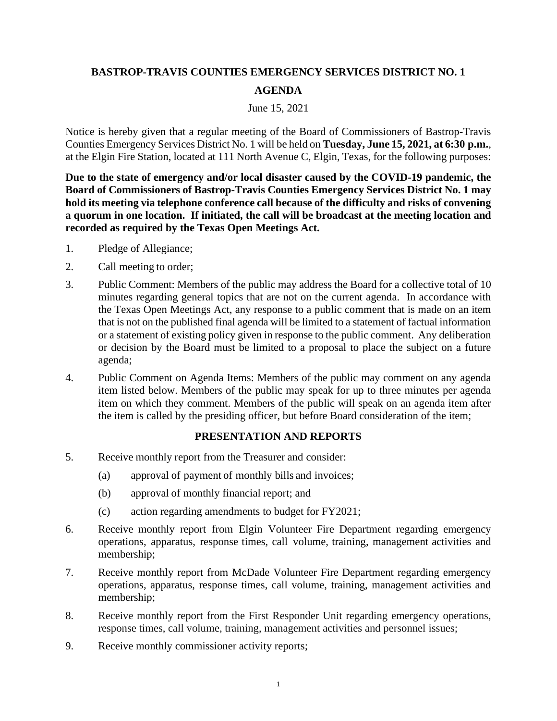## **BASTROP-TRAVIS COUNTIES EMERGENCY SERVICES DISTRICT NO. 1 AGENDA**

## June 15, 2021

Notice is hereby given that a regular meeting of the Board of Commissioners of Bastrop-Travis Counties Emergency Services District No. 1 will be held on **Tuesday, June 15, 2021, at 6:30 p.m.**, at the Elgin Fire Station, located at 111 North Avenue C, Elgin, Texas, for the following purposes:

**Due to the state of emergency and/or local disaster caused by the COVID-19 pandemic, the Board of Commissioners of Bastrop-Travis Counties Emergency Services District No. 1 may hold its meeting via telephone conference call because of the difficulty and risks of convening a quorum in one location. If initiated, the call will be broadcast at the meeting location and recorded as required by the Texas Open Meetings Act.**

- 1. Pledge of Allegiance;
- 2. Call meeting to order;
- 3. Public Comment: Members of the public may address the Board for a collective total of 10 minutes regarding general topics that are not on the current agenda. In accordance with the Texas Open Meetings Act, any response to a public comment that is made on an item that is not on the published final agenda will be limited to a statement of factual information or a statement of existing policy given in response to the public comment. Any deliberation or decision by the Board must be limited to a proposal to place the subject on a future agenda;
- 4. Public Comment on Agenda Items: Members of the public may comment on any agenda item listed below. Members of the public may speak for up to three minutes per agenda item on which they comment. Members of the public will speak on an agenda item after the item is called by the presiding officer, but before Board consideration of the item;

## **PRESENTATION AND REPORTS**

- 5. Receive monthly report from the Treasurer and consider:
	- (a) approval of payment of monthly bills and invoices;
	- (b) approval of monthly financial report; and
	- (c) action regarding amendments to budget for FY2021;
- 6. Receive monthly report from Elgin Volunteer Fire Department regarding emergency operations, apparatus, response times, call volume, training, management activities and membership;
- 7. Receive monthly report from McDade Volunteer Fire Department regarding emergency operations, apparatus, response times, call volume, training, management activities and membership;
- 8. Receive monthly report from the First Responder Unit regarding emergency operations, response times, call volume, training, management activities and personnel issues;
- 9. Receive monthly commissioner activity reports;